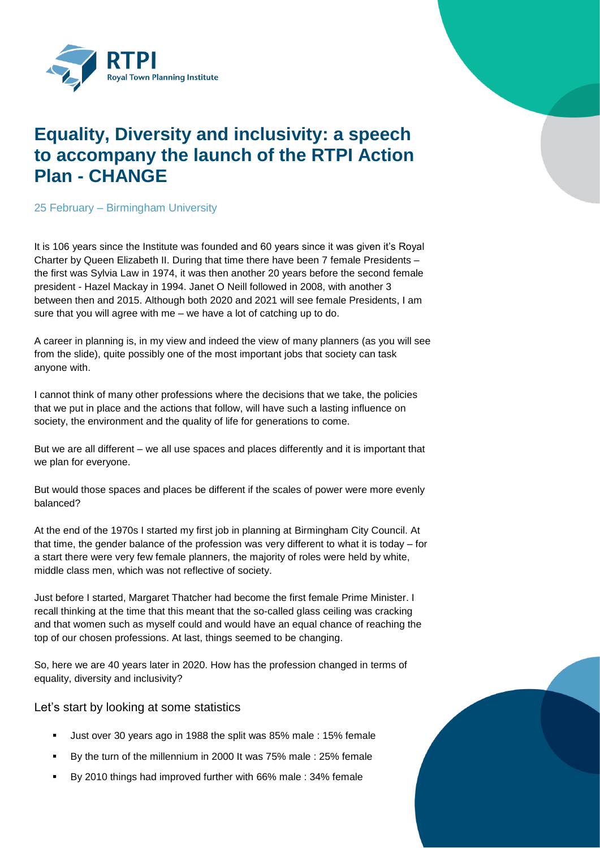

## **Equality, Diversity and inclusivity: a speech to accompany the launch of the RTPI Action Plan - CHANGE**

25 February – Birmingham University

It is 106 years since the Institute was founded and 60 years since it was given it's Royal Charter by Queen Elizabeth II. During that time there have been 7 female Presidents – the first was Sylvia Law in 1974, it was then another 20 years before the second female president - Hazel Mackay in 1994. Janet O Neill followed in 2008, with another 3 between then and 2015. Although both 2020 and 2021 will see female Presidents, I am sure that you will agree with me – we have a lot of catching up to do.

A career in planning is, in my view and indeed the view of many planners (as you will see from the slide), quite possibly one of the most important jobs that society can task anyone with.

I cannot think of many other professions where the decisions that we take, the policies that we put in place and the actions that follow, will have such a lasting influence on society, the environment and the quality of life for generations to come.

But we are all different – we all use spaces and places differently and it is important that we plan for everyone.

But would those spaces and places be different if the scales of power were more evenly balanced?

At the end of the 1970s I started my first job in planning at Birmingham City Council. At that time, the gender balance of the profession was very different to what it is today – for a start there were very few female planners, the majority of roles were held by white, middle class men, which was not reflective of society.

Just before I started, Margaret Thatcher had become the first female Prime Minister. I recall thinking at the time that this meant that the so-called glass ceiling was cracking and that women such as myself could and would have an equal chance of reaching the top of our chosen professions. At last, things seemed to be changing.

So, here we are 40 years later in 2020. How has the profession changed in terms of equality, diversity and inclusivity?

Let's start by looking at some statistics

- Just over 30 years ago in 1988 the split was 85% male : 15% female
- By the turn of the millennium in 2000 It was 75% male : 25% female
- By 2010 things had improved further with 66% male : 34% female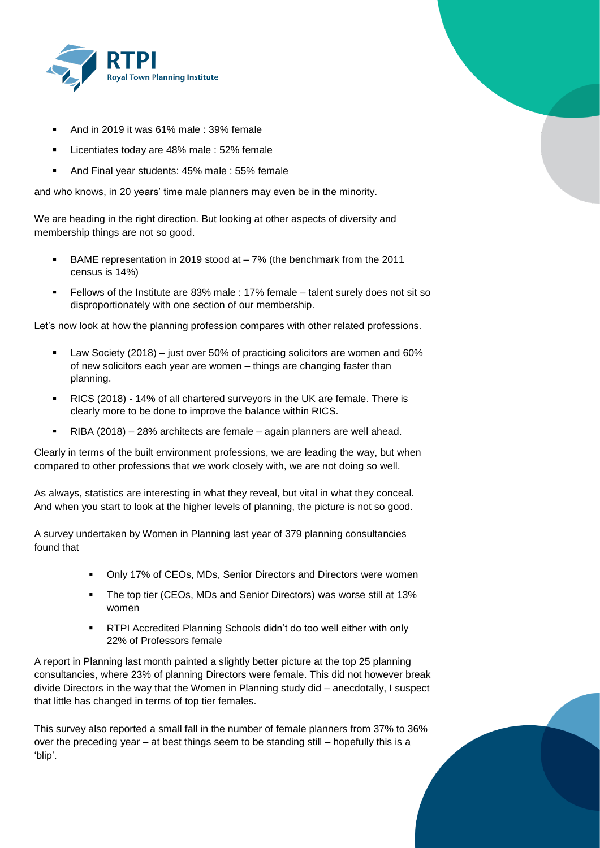

- And in 2019 it was 61% male : 39% female
- Licentiates today are 48% male : 52% female
- And Final year students: 45% male : 55% female

and who knows, in 20 years' time male planners may even be in the minority.

We are heading in the right direction. But looking at other aspects of diversity and membership things are not so good.

- BAME representation in 2019 stood at 7% (the benchmark from the 2011 census is 14%)
- Fellows of the Institute are 83% male : 17% female talent surely does not sit so disproportionately with one section of our membership.

Let's now look at how the planning profession compares with other related professions.

- Law Society (2018) just over 50% of practicing solicitors are women and 60% of new solicitors each year are women – things are changing faster than planning.
- RICS (2018) 14% of all chartered surveyors in the UK are female. There is clearly more to be done to improve the balance within RICS.
- RIBA (2018) 28% architects are female again planners are well ahead.

Clearly in terms of the built environment professions, we are leading the way, but when compared to other professions that we work closely with, we are not doing so well.

As always, statistics are interesting in what they reveal, but vital in what they conceal. And when you start to look at the higher levels of planning, the picture is not so good.

A survey undertaken by Women in Planning last year of 379 planning consultancies found that

- Only 17% of CEOs, MDs, Senior Directors and Directors were women
- **The top tier (CEOs, MDs and Senior Directors) was worse still at 13%** women
- **RTPI Accredited Planning Schools didn't do too well either with only** 22% of Professors female

A report in Planning last month painted a slightly better picture at the top 25 planning consultancies, where 23% of planning Directors were female. This did not however break divide Directors in the way that the Women in Planning study did – anecdotally, I suspect that little has changed in terms of top tier females.

This survey also reported a small fall in the number of female planners from 37% to 36% over the preceding year – at best things seem to be standing still – hopefully this is a 'blip'.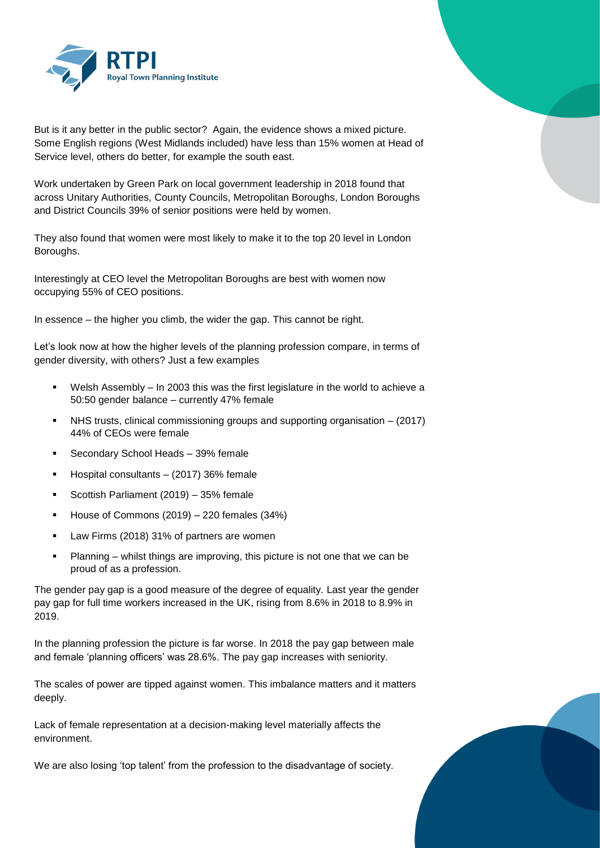

But is it any better in the public sector? Again, the evidence shows a mixed picture. Some English regions (West Midlands included) have less than 15% women at Head of Service level, others do better, for example the south east.

Work undertaken by Green Park on local government leadership in 2018 found that across Unitary Authorities, County Councils, Metropolitan Boroughs, London Boroughs and District Councils 39% of senior positions were held by women.

They also found that women were most likely to make it to the top 20 level in London Boroughs.

Interestingly at CEO level the Metropolitan Boroughs are best with women now occupying 55% of CEO positions.

In essence – the higher you climb, the wider the gap. This cannot be right.

Let's look now at how the higher levels of the planning profession compare, in terms of gender diversity, with others? Just a few examples

- Welsh Assembly In 2003 this was the first legislature in the world to achieve a 50:50 gender balance – currently 47% female
- NHS trusts, clinical commissioning groups and supporting organisation (2017) 44% of CEOs were female
- Secondary School Heads 39% female
- Hospital consultants (2017) 36% female
- Scottish Parliament (2019) 35% female
- House of Commons  $(2019) 220$  females  $(34%)$
- Law Firms (2018) 31% of partners are women
- Planning whilst things are improving, this picture is not one that we can be proud of as a profession.

The gender pay gap is a good measure of the degree of equality. Last year the gender pay gap for full time workers increased in the UK, rising from 8.6% in 2018 to 8.9% in 2019.

In the planning profession the picture is far worse. In 2018 the pay gap between male and female 'planning officers' was 28.6%. The pay gap increases with seniority.

The scales of power are tipped against women. This imbalance matters and it matters deeply.

Lack of female representation at a decision-making level materially affects the environment.

We are also losing 'top talent' from the profession to the disadvantage of society.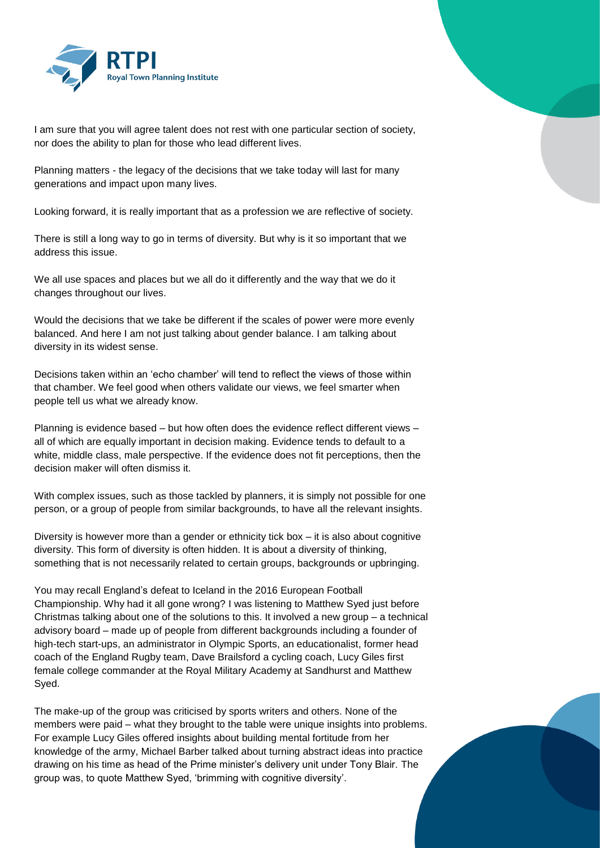

I am sure that you will agree talent does not rest with one particular section of society, nor does the ability to plan for those who lead different lives.

Planning matters - the legacy of the decisions that we take today will last for many generations and impact upon many lives.

Looking forward, it is really important that as a profession we are reflective of society.

There is still a long way to go in terms of diversity. But why is it so important that we address this issue.

We all use spaces and places but we all do it differently and the way that we do it changes throughout our lives.

Would the decisions that we take be different if the scales of power were more evenly balanced. And here I am not just talking about gender balance. I am talking about diversity in its widest sense.

Decisions taken within an 'echo chamber' will tend to reflect the views of those within that chamber. We feel good when others validate our views, we feel smarter when people tell us what we already know.

Planning is evidence based – but how often does the evidence reflect different views – all of which are equally important in decision making. Evidence tends to default to a white, middle class, male perspective. If the evidence does not fit perceptions, then the decision maker will often dismiss it.

With complex issues, such as those tackled by planners, it is simply not possible for one person, or a group of people from similar backgrounds, to have all the relevant insights.

Diversity is however more than a gender or ethnicity tick box – it is also about cognitive diversity. This form of diversity is often hidden. It is about a diversity of thinking, something that is not necessarily related to certain groups, backgrounds or upbringing.

You may recall England's defeat to Iceland in the 2016 European Football Championship. Why had it all gone wrong? I was listening to Matthew Syed just before Christmas talking about one of the solutions to this. It involved a new group – a technical advisory board – made up of people from different backgrounds including a founder of high-tech start-ups, an administrator in Olympic Sports, an educationalist, former head coach of the England Rugby team, Dave Brailsford a cycling coach, Lucy Giles first female college commander at the Royal Military Academy at Sandhurst and Matthew Syed.

The make-up of the group was criticised by sports writers and others. None of the members were paid – what they brought to the table were unique insights into problems. For example Lucy Giles offered insights about building mental fortitude from her knowledge of the army, Michael Barber talked about turning abstract ideas into practice drawing on his time as head of the Prime minister's delivery unit under Tony Blair. The group was, to quote Matthew Syed, 'brimming with cognitive diversity'.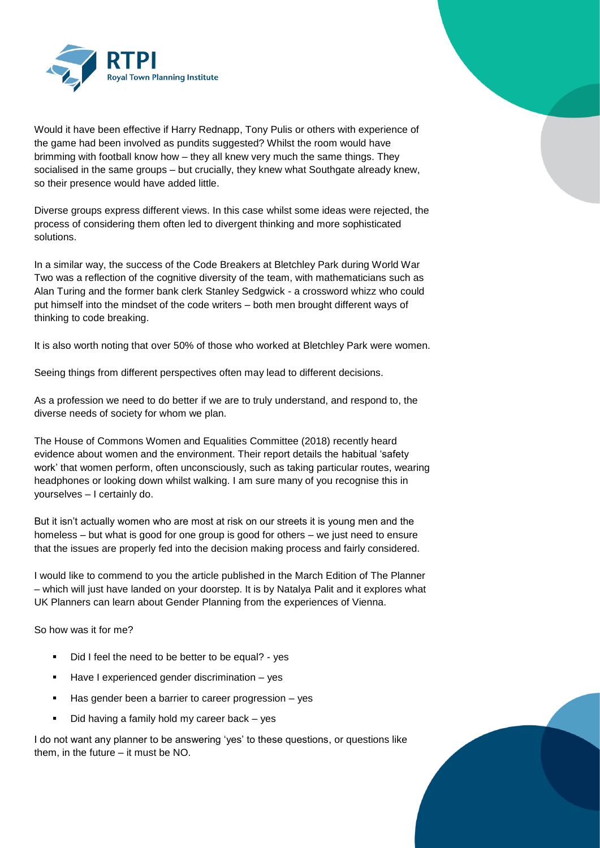

Would it have been effective if Harry Rednapp, Tony Pulis or others with experience of the game had been involved as pundits suggested? Whilst the room would have brimming with football know how – they all knew very much the same things. They socialised in the same groups – but crucially, they knew what Southgate already knew, so their presence would have added little.

Diverse groups express different views. In this case whilst some ideas were rejected, the process of considering them often led to divergent thinking and more sophisticated solutions.

In a similar way, the success of the Code Breakers at Bletchley Park during World War Two was a reflection of the cognitive diversity of the team, with mathematicians such as Alan Turing and the former bank clerk Stanley Sedgwick - a crossword whizz who could put himself into the mindset of the code writers – both men brought different ways of thinking to code breaking.

It is also worth noting that over 50% of those who worked at Bletchley Park were women.

Seeing things from different perspectives often may lead to different decisions.

As a profession we need to do better if we are to truly understand, and respond to, the diverse needs of society for whom we plan.

The House of Commons Women and Equalities Committee (2018) recently heard evidence about women and the environment. Their report details the habitual 'safety work' that women perform, often unconsciously, such as taking particular routes, wearing headphones or looking down whilst walking. I am sure many of you recognise this in yourselves – I certainly do.

But it isn't actually women who are most at risk on our streets it is young men and the homeless – but what is good for one group is good for others – we just need to ensure that the issues are properly fed into the decision making process and fairly considered.

I would like to commend to you the article published in the March Edition of The Planner – which will just have landed on your doorstep. It is by Natalya Palit and it explores what UK Planners can learn about Gender Planning from the experiences of Vienna.

So how was it for me?

- Did I feel the need to be better to be equal? yes
- **Have I experienced gender discrimination yes**
- Has gender been a barrier to career progression yes
- Did having a family hold my career back yes

I do not want any planner to be answering 'yes' to these questions, or questions like them, in the future – it must be NO.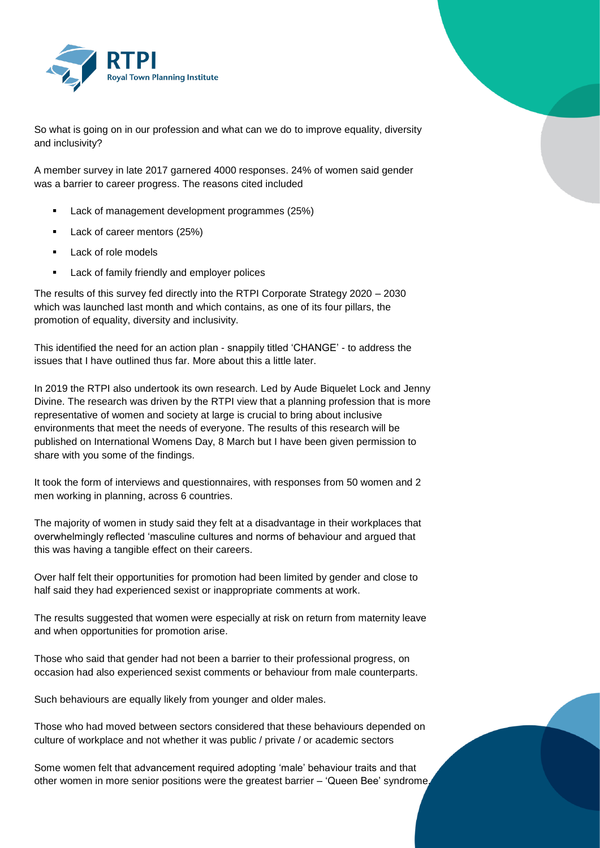

So what is going on in our profession and what can we do to improve equality, diversity and inclusivity?

A member survey in late 2017 garnered 4000 responses. 24% of women said gender was a barrier to career progress. The reasons cited included

- **Lack of management development programmes (25%)**
- Lack of career mentors (25%)
- Lack of role models
- **Lack of family friendly and employer polices**

The results of this survey fed directly into the RTPI Corporate Strategy 2020 – 2030 which was launched last month and which contains, as one of its four pillars, the promotion of equality, diversity and inclusivity.

This identified the need for an action plan - snappily titled 'CHANGE' - to address the issues that I have outlined thus far. More about this a little later.

In 2019 the RTPI also undertook its own research. Led by Aude Biquelet Lock and Jenny Divine. The research was driven by the RTPI view that a planning profession that is more representative of women and society at large is crucial to bring about inclusive environments that meet the needs of everyone. The results of this research will be published on International Womens Day, 8 March but I have been given permission to share with you some of the findings.

It took the form of interviews and questionnaires, with responses from 50 women and 2 men working in planning, across 6 countries.

The majority of women in study said they felt at a disadvantage in their workplaces that overwhelmingly reflected 'masculine cultures and norms of behaviour and argued that this was having a tangible effect on their careers.

Over half felt their opportunities for promotion had been limited by gender and close to half said they had experienced sexist or inappropriate comments at work.

The results suggested that women were especially at risk on return from maternity leave and when opportunities for promotion arise.

Those who said that gender had not been a barrier to their professional progress, on occasion had also experienced sexist comments or behaviour from male counterparts.

Such behaviours are equally likely from younger and older males.

Those who had moved between sectors considered that these behaviours depended on culture of workplace and not whether it was public / private / or academic sectors

Some women felt that advancement required adopting 'male' behaviour traits and that other women in more senior positions were the greatest barrier – 'Queen Bee' syndrome.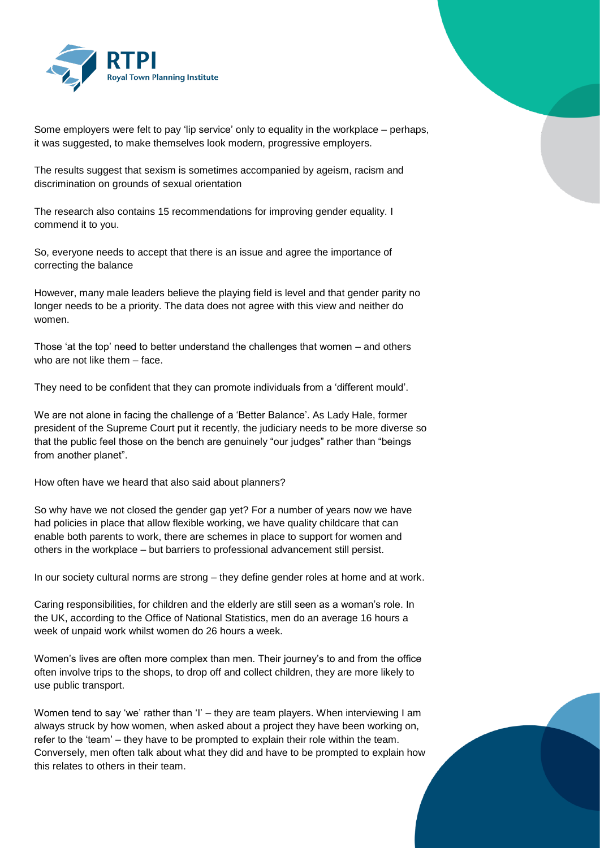

Some employers were felt to pay 'lip service' only to equality in the workplace – perhaps, it was suggested, to make themselves look modern, progressive employers.

The results suggest that sexism is sometimes accompanied by ageism, racism and discrimination on grounds of sexual orientation

The research also contains 15 recommendations for improving gender equality. I commend it to you.

So, everyone needs to accept that there is an issue and agree the importance of correcting the balance

However, many male leaders believe the playing field is level and that gender parity no longer needs to be a priority. The data does not agree with this view and neither do women.

Those 'at the top' need to better understand the challenges that women – and others who are not like them – face.

They need to be confident that they can promote individuals from a 'different mould'.

We are not alone in facing the challenge of a 'Better Balance'. As Lady Hale, former president of the Supreme Court put it recently, the judiciary needs to be more diverse so that the public feel those on the bench are genuinely "our judges" rather than "beings from another planet".

How often have we heard that also said about planners?

So why have we not closed the gender gap yet? For a number of years now we have had policies in place that allow flexible working, we have quality childcare that can enable both parents to work, there are schemes in place to support for women and others in the workplace – but barriers to professional advancement still persist.

In our society cultural norms are strong – they define gender roles at home and at work.

Caring responsibilities, for children and the elderly are still seen as a woman's role. In the UK, according to the Office of National Statistics, men do an average 16 hours a week of unpaid work whilst women do 26 hours a week.

Women's lives are often more complex than men. Their journey's to and from the office often involve trips to the shops, to drop off and collect children, they are more likely to use public transport.

Women tend to say 'we' rather than 'I' – they are team players. When interviewing I am always struck by how women, when asked about a project they have been working on, refer to the 'team' – they have to be prompted to explain their role within the team. Conversely, men often talk about what they did and have to be prompted to explain how this relates to others in their team.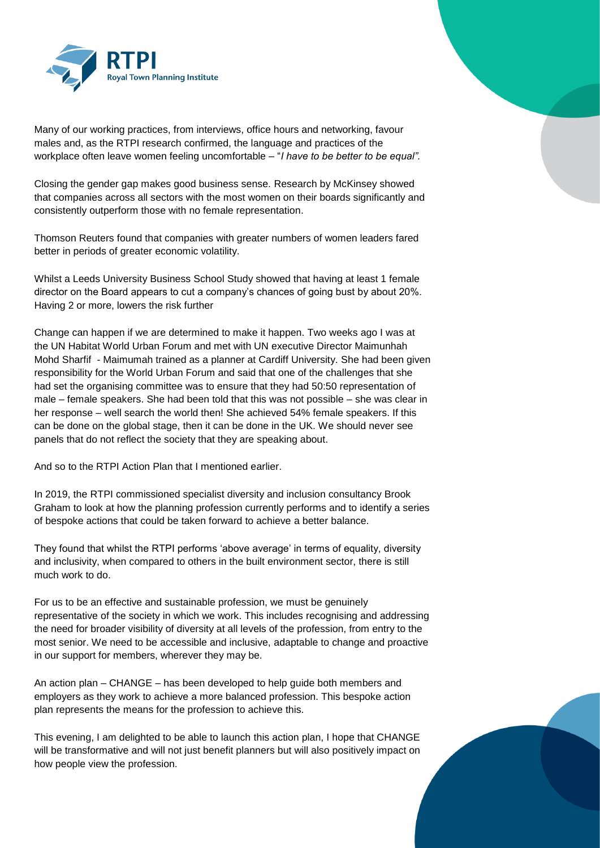

Many of our working practices, from interviews, office hours and networking, favour males and, as the RTPI research confirmed, the language and practices of the workplace often leave women feeling uncomfortable – "*I have to be better to be equal".* 

Closing the gender gap makes good business sense. Research by McKinsey showed that companies across all sectors with the most women on their boards significantly and consistently outperform those with no female representation.

Thomson Reuters found that companies with greater numbers of women leaders fared better in periods of greater economic volatility.

Whilst a Leeds University Business School Study showed that having at least 1 female director on the Board appears to cut a company's chances of going bust by about 20%. Having 2 or more, lowers the risk further

Change can happen if we are determined to make it happen. Two weeks ago I was at the UN Habitat World Urban Forum and met with UN executive Director Maimunhah Mohd Sharfif - Maimumah trained as a planner at Cardiff University. She had been given responsibility for the World Urban Forum and said that one of the challenges that she had set the organising committee was to ensure that they had 50:50 representation of male – female speakers. She had been told that this was not possible – she was clear in her response – well search the world then! She achieved 54% female speakers. If this can be done on the global stage, then it can be done in the UK. We should never see panels that do not reflect the society that they are speaking about.

And so to the RTPI Action Plan that I mentioned earlier.

In 2019, the RTPI commissioned specialist diversity and inclusion consultancy Brook Graham to look at how the planning profession currently performs and to identify a series of bespoke actions that could be taken forward to achieve a better balance.

They found that whilst the RTPI performs 'above average' in terms of equality, diversity and inclusivity, when compared to others in the built environment sector, there is still much work to do.

For us to be an effective and sustainable profession, we must be genuinely representative of the society in which we work. This includes recognising and addressing the need for broader visibility of diversity at all levels of the profession, from entry to the most senior. We need to be accessible and inclusive, adaptable to change and proactive in our support for members, wherever they may be.

An action plan – CHANGE – has been developed to help guide both members and employers as they work to achieve a more balanced profession. This bespoke action plan represents the means for the profession to achieve this.

This evening, I am delighted to be able to launch this action plan, I hope that CHANGE will be transformative and will not just benefit planners but will also positively impact on how people view the profession.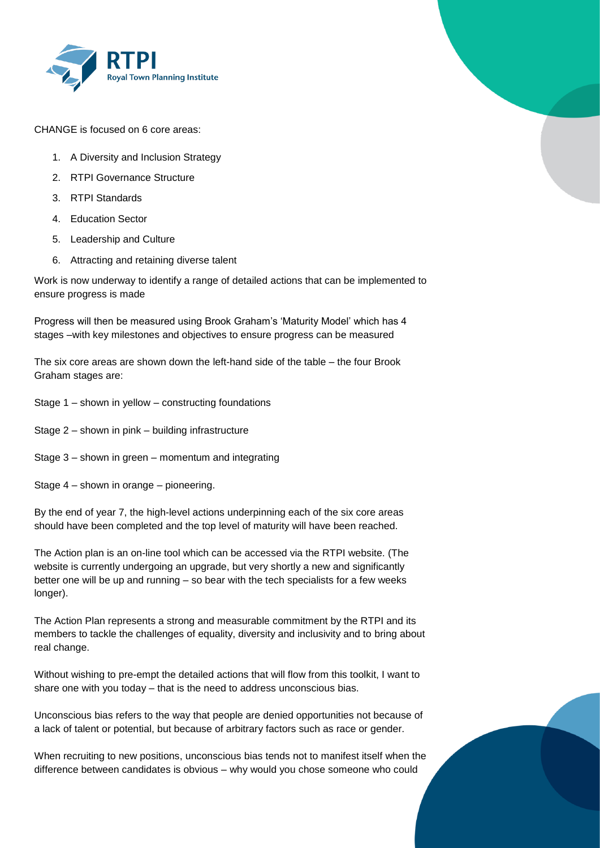

CHANGE is focused on 6 core areas:

- 1. A Diversity and Inclusion Strategy
- 2. RTPI Governance Structure
- 3. RTPI Standards
- 4. Education Sector
- 5. Leadership and Culture
- 6. Attracting and retaining diverse talent

Work is now underway to identify a range of detailed actions that can be implemented to ensure progress is made

Progress will then be measured using Brook Graham's 'Maturity Model' which has 4 stages –with key milestones and objectives to ensure progress can be measured

The six core areas are shown down the left-hand side of the table – the four Brook Graham stages are:

- Stage 1 shown in yellow constructing foundations
- Stage 2 shown in pink building infrastructure
- Stage 3 shown in green momentum and integrating
- Stage 4 shown in orange pioneering.

By the end of year 7, the high-level actions underpinning each of the six core areas should have been completed and the top level of maturity will have been reached.

The Action plan is an on-line tool which can be accessed via the RTPI website. (The website is currently undergoing an upgrade, but very shortly a new and significantly better one will be up and running – so bear with the tech specialists for a few weeks longer).

The Action Plan represents a strong and measurable commitment by the RTPI and its members to tackle the challenges of equality, diversity and inclusivity and to bring about real change.

Without wishing to pre-empt the detailed actions that will flow from this toolkit, I want to share one with you today – that is the need to address unconscious bias.

Unconscious bias refers to the way that people are denied opportunities not because of a lack of talent or potential, but because of arbitrary factors such as race or gender.

When recruiting to new positions, unconscious bias tends not to manifest itself when the difference between candidates is obvious – why would you chose someone who could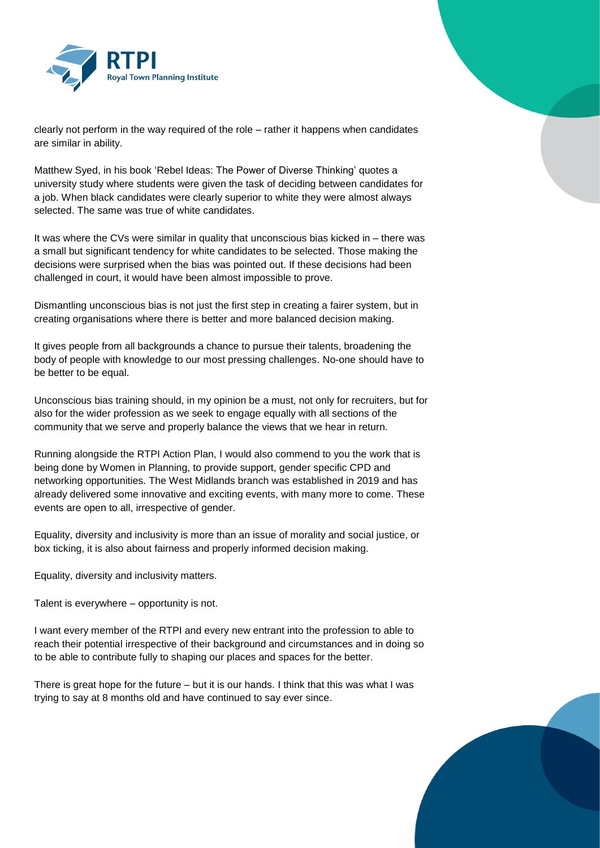

clearly not perform in the way required of the role – rather it happens when candidates are similar in ability.

Matthew Syed, in his book 'Rebel Ideas: The Power of Diverse Thinking' quotes a university study where students were given the task of deciding between candidates for a job. When black candidates were clearly superior to white they were almost always selected. The same was true of white candidates.

It was where the CVs were similar in quality that unconscious bias kicked in – there was a small but significant tendency for white candidates to be selected. Those making the decisions were surprised when the bias was pointed out. If these decisions had been challenged in court, it would have been almost impossible to prove.

Dismantling unconscious bias is not just the first step in creating a fairer system, but in creating organisations where there is better and more balanced decision making.

It gives people from all backgrounds a chance to pursue their talents, broadening the body of people with knowledge to our most pressing challenges. No-one should have to be better to be equal.

Unconscious bias training should, in my opinion be a must, not only for recruiters, but for also for the wider profession as we seek to engage equally with all sections of the community that we serve and properly balance the views that we hear in return.

Running alongside the RTPI Action Plan, I would also commend to you the work that is being done by Women in Planning, to provide support, gender specific CPD and networking opportunities. The West Midlands branch was established in 2019 and has already delivered some innovative and exciting events, with many more to come. These events are open to all, irrespective of gender.

Equality, diversity and inclusivity is more than an issue of morality and social justice, or box ticking, it is also about fairness and properly informed decision making.

Equality, diversity and inclusivity matters.

Talent is everywhere – opportunity is not.

I want every member of the RTPI and every new entrant into the profession to able to reach their potential irrespective of their background and circumstances and in doing so to be able to contribute fully to shaping our places and spaces for the better.

There is great hope for the future – but it is our hands. I think that this was what I was trying to say at 8 months old and have continued to say ever since.